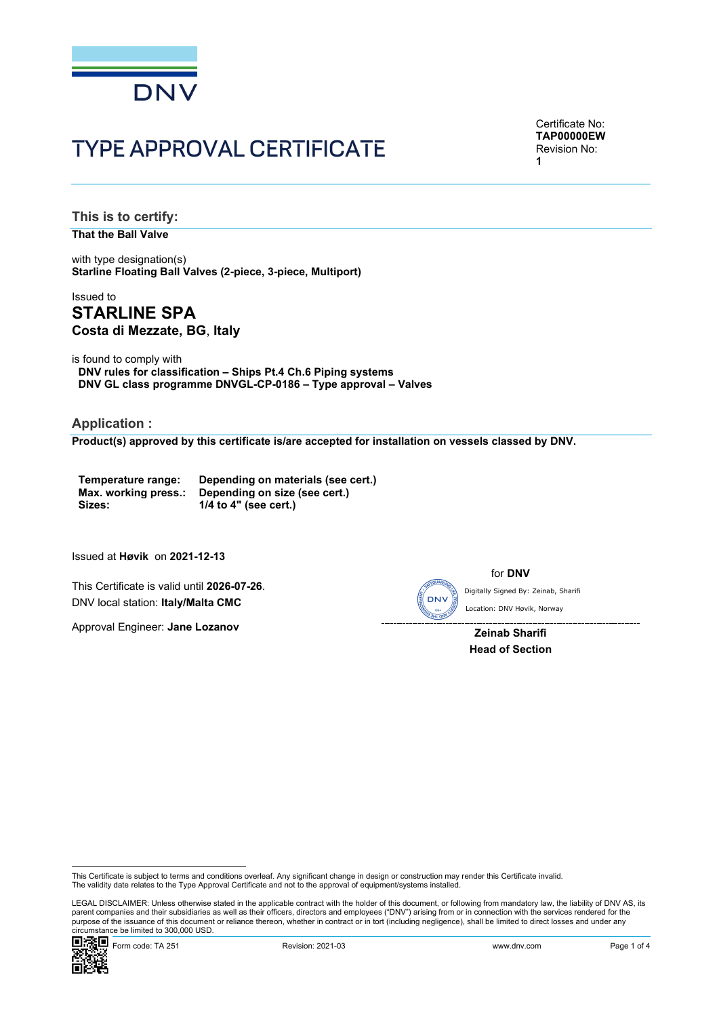

# TYPE APPROVAL CERTIFICATE

Certificate No: **TAP00000EW** Revision No: **1**

**This is to certify:**

**That the Ball Valve**

with type designation(s) **Starline Floating Ball Valves (2-piece, 3-piece, Multiport)**

# Issued to **STARLINE SPA Costa di Mezzate, BG**, **Italy**

is found to comply with **DNV rules for classification – Ships Pt.4 Ch.6 Piping systems DNV GL class programme DNVGL-CP-0186 – Type approval – Valves**

# **Application :**

**Product(s) approved by this certificate is/are accepted for installation on vessels classed by DNV.**

**Temperature range: Depending on materials (see cert.) Max. working press.: Depending on size (see cert.) Sizes: 1/4 to 4" (see cert.)**

Issued at **Høvik** on **2021-12-13**

This Certificate is valid until **2026-07-26**. DNV local station: **Italy/Malta CMC**

Approval Engineer: **Jane Lozanov**

for **DNV**

Location: DNV Høvik, Norway

 $\overline{a}$ **Zeinab Sharifi Head of Section**

LEGAL DISCLAIMER: Unless otherwise stated in the applicable contract with the holder of this document, or following from mandatory law, the liability of DNV AS, its<br>parent companies and their subsidiaries as well as their purpose of the issuance of this document or reliance thereon, whether in contract or in tort (including negligence), shall be limited to direct losses and under any circumstance be limited to 300,000 USD. Circumstance be limited to 300,000 USD.<br>
Circumstance be limited to 300,000 USD.<br>
Circumstance be limited to 300,000 USD.<br>
Circumstance be limited to 300,000 USD.<br>
Circumstance be limited to 300,000 USD.<br>
Circumstance be l



This Certificate is subject to terms and conditions overleaf. Any significant change in design or construction may render this Certificate invalid.<br>The validity date relates to the Type Approval Certificate and not to the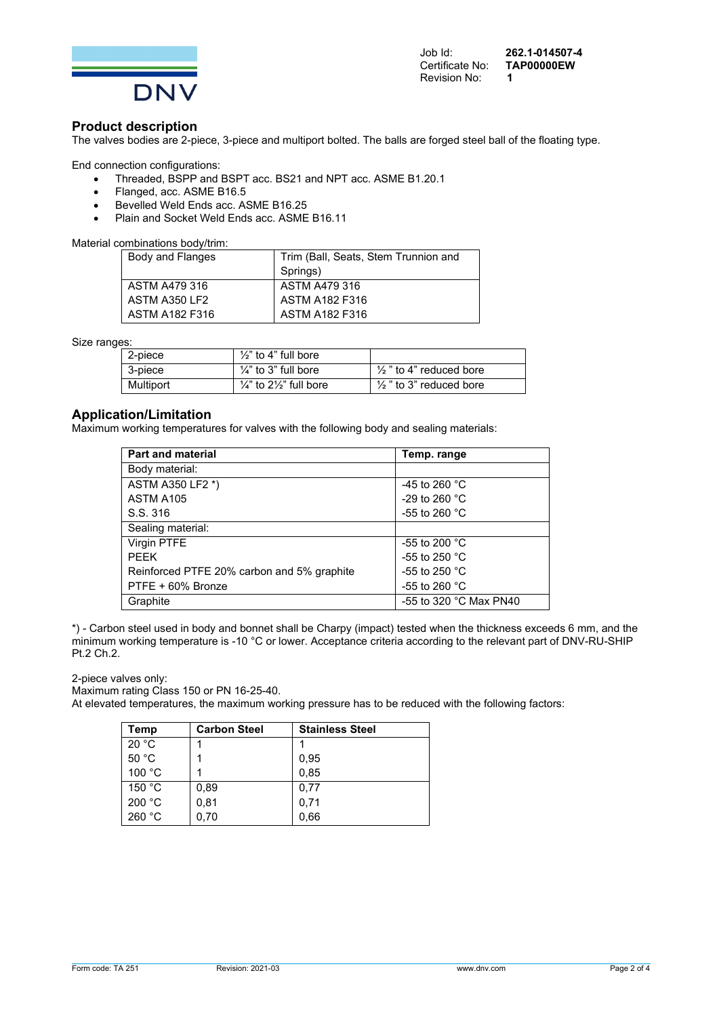

Revision No: **1**

Job Id: **262.1-014507-4** Certificate No: **TAP00000EW**

#### **Product description**

The valves bodies are 2-piece, 3-piece and multiport bolted. The balls are forged steel ball of the floating type.

End connection configurations:

- Threaded, BSPP and BSPT acc. BS21 and NPT acc. ASME B1.20.1
- Flanged, acc. ASME B16.5
- Bevelled Weld Ends acc. ASME B16.25
- Plain and Socket Weld Ends acc. ASME B16.11

Material combinations body/trim:

| Body and Flanges | Trim (Ball, Seats, Stem Trunnion and |  |
|------------------|--------------------------------------|--|
|                  | Springs)                             |  |
| ASTM A479 316    | ASTM A479 316                        |  |
| ASTM A350 LF2    | <b>ASTM A182 F316</b>                |  |
| ASTM A182 F316   | <b>ASTM A182 F316</b>                |  |

Size ranges:

| 2-piece   | $\frac{1}{2}$ " to 4" full bore                |                                    |
|-----------|------------------------------------------------|------------------------------------|
| 3-piece   | $\frac{1}{4}$ " to 3" full bore                | $\frac{1}{2}$ " to 4" reduced bore |
| Multiport | $\frac{1}{4}$ " to 2 $\frac{1}{2}$ " full bore | $\frac{1}{2}$ " to 3" reduced bore |

## **Application/Limitation**

Maximum working temperatures for valves with the following body and sealing materials:

| <b>Part and material</b>                   | Temp. range                      |
|--------------------------------------------|----------------------------------|
| Body material:                             |                                  |
| ASTM A350 LF2 *)                           | -45 to 260 $^{\circ}$ C          |
| ASTM A105                                  | -29 to 260 $^{\circ}$ C          |
| S.S. 316                                   | -55 to 260 $^{\circ}$ C          |
| Sealing material:                          |                                  |
| Virgin PTFE                                | -55 to 200 $^{\circ}$ C          |
| <b>PFFK</b>                                | -55 to 250 $^{\circ}$ C          |
| Reinforced PTFE 20% carbon and 5% graphite | -55 to 250 $^{\circ}$ C          |
| PTFE + 60% Bronze                          | -55 to 260 $^{\circ}$ C          |
| Graphite                                   | -55 to 320 $^{\circ}$ C Max PN40 |

\*) - Carbon steel used in body and bonnet shall be Charpy (impact) tested when the thickness exceeds 6 mm, and the minimum working temperature is -10 °C or lower. Acceptance criteria according to the relevant part of DNV-RU-SHIP Pt.2 Ch.2.

2-piece valves only:

Maximum rating Class 150 or PN 16-25-40.

At elevated temperatures, the maximum working pressure has to be reduced with the following factors:

| Temp            | <b>Carbon Steel</b> | <b>Stainless Steel</b> |
|-----------------|---------------------|------------------------|
| 20 °C           |                     |                        |
| 50 °C           |                     | 0.95                   |
| 100 °C          |                     | 0,85                   |
| 150 $\degree$ C | 0,89                | 0,77                   |
| 200 °C          | 0.81                | 0.71                   |
| 260 °C          | 0,70                | 0,66                   |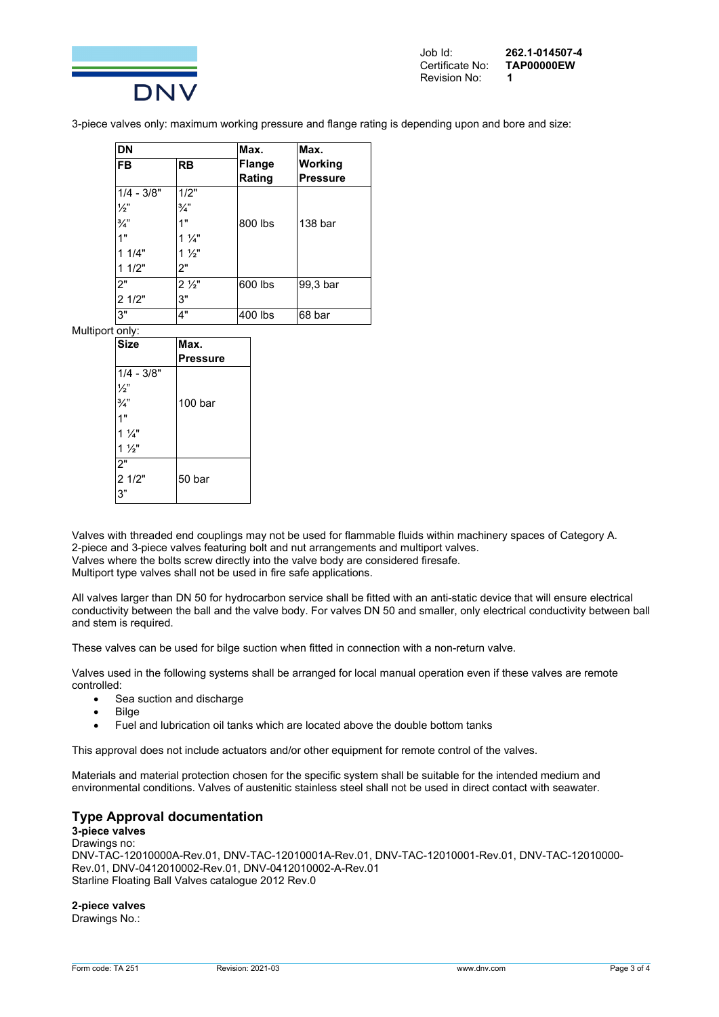

3-piece valves only: maximum working pressure and flange rating is depending upon and bore and size:

| <b>DN</b>       |                | Max.          | Max.            |
|-----------------|----------------|---------------|-----------------|
| <b>FB</b>       | <b>RB</b>      | <b>Flange</b> | <b>Working</b>  |
|                 |                | Rating        | <b>Pressure</b> |
| $1/4 - 3/8"$    | 1/2"           |               |                 |
| $\frac{1}{2}$   | $\frac{3}{4}$  |               |                 |
| $\frac{3}{4}$ " | 1"             | 800 lbs       | 138 bar         |
| 1"              | $1\frac{1}{4}$ |               |                 |
| 11/4"           | $1\frac{1}{2}$ |               |                 |
| 11/2"           | 2"             |               |                 |
| 2"              | $2\frac{1}{3}$ | 600 lbs       | 99,3 bar        |
| 21/2"           | 3"             |               |                 |
| 3"              | 4"             | 400 lbs       | 68 bar          |

Multiport only:

| <b>Size</b>    | Max.            |
|----------------|-----------------|
|                | <b>Pressure</b> |
| $1/4 - 3/8"$   |                 |
| ソっ"            |                 |
| 3/4"           | 100 bar         |
| 1"             |                 |
| $1\frac{1}{4}$ |                 |
| $1\frac{1}{2}$ |                 |
| 2"             |                 |
| 2 1/2"         | 50 bar          |
| 3"             |                 |

Valves with threaded end couplings may not be used for flammable fluids within machinery spaces of Category A. 2-piece and 3-piece valves featuring bolt and nut arrangements and multiport valves. Valves where the bolts screw directly into the valve body are considered firesafe. Multiport type valves shall not be used in fire safe applications.

All valves larger than DN 50 for hydrocarbon service shall be fitted with an anti-static device that will ensure electrical conductivity between the ball and the valve body. For valves DN 50 and smaller, only electrical conductivity between ball and stem is required.

These valves can be used for bilge suction when fitted in connection with a non-return valve.

Valves used in the following systems shall be arranged for local manual operation even if these valves are remote controlled:

- Sea suction and discharge
- Bilge
- Fuel and lubrication oil tanks which are located above the double bottom tanks

This approval does not include actuators and/or other equipment for remote control of the valves.

Materials and material protection chosen for the specific system shall be suitable for the intended medium and environmental conditions. Valves of austenitic stainless steel shall not be used in direct contact with seawater.

# **Type Approval documentation**

**3-piece valves** Drawings no: DNV-TAC-12010000A-Rev.01, DNV-TAC-12010001A-Rev.01, DNV-TAC-12010001-Rev.01, DNV-TAC-12010000- Rev.01, DNV-0412010002-Rev.01, DNV-0412010002-A-Rev.01 Starline Floating Ball Valves catalogue 2012 Rev.0

**2-piece valves** Drawings No.: